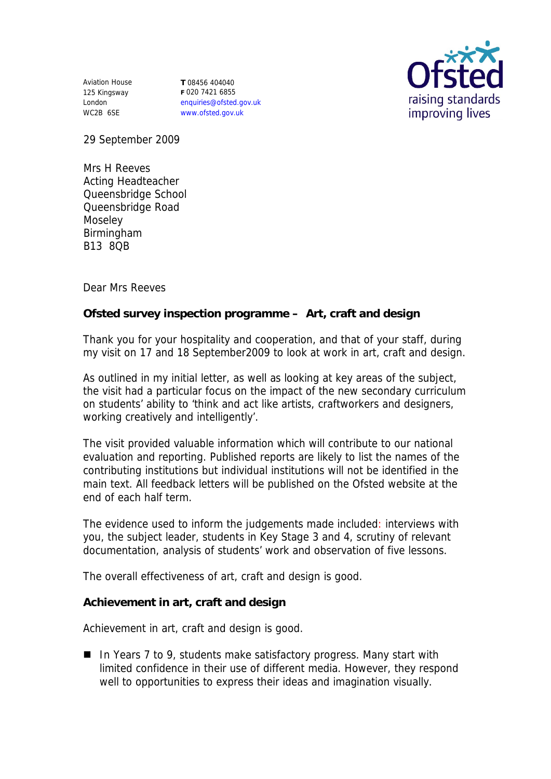Aviation House 125 Kingsway London WC2B 6SE

**T** 08456 404040 **F** 020 7421 6855 enquiries@ofsted.gov.uk www.ofsted.gov.uk



29 September 2009

Mrs H Reeves Acting Headteacher Queensbridge School Queensbridge Road Moseley Birmingham B13 8QB

Dear Mrs Reeves

**Ofsted survey inspection programme – Art, craft and design**

Thank you for your hospitality and cooperation, and that of your staff, during my visit on 17 and 18 September2009 to look at work in art, craft and design.

As outlined in my initial letter, as well as looking at key areas of the subject, the visit had a particular focus on the impact of the new secondary curriculum on students' ability to 'think and act like artists, craftworkers and designers, working creatively and intelligently'.

The visit provided valuable information which will contribute to our national evaluation and reporting. Published reports are likely to list the names of the contributing institutions but individual institutions will not be identified in the main text. All feedback letters will be published on the Ofsted website at the end of each half term.

The evidence used to inform the judgements made included: interviews with you, the subject leader, students in Key Stage 3 and 4, scrutiny of relevant documentation, analysis of students' work and observation of five lessons.

The overall effectiveness of art, craft and design is good.

**Achievement in art, craft and design**

Achievement in art, craft and design is good.

■ In Years 7 to 9, students make satisfactory progress. Many start with limited confidence in their use of different media. However, they respond well to opportunities to express their ideas and imagination visually.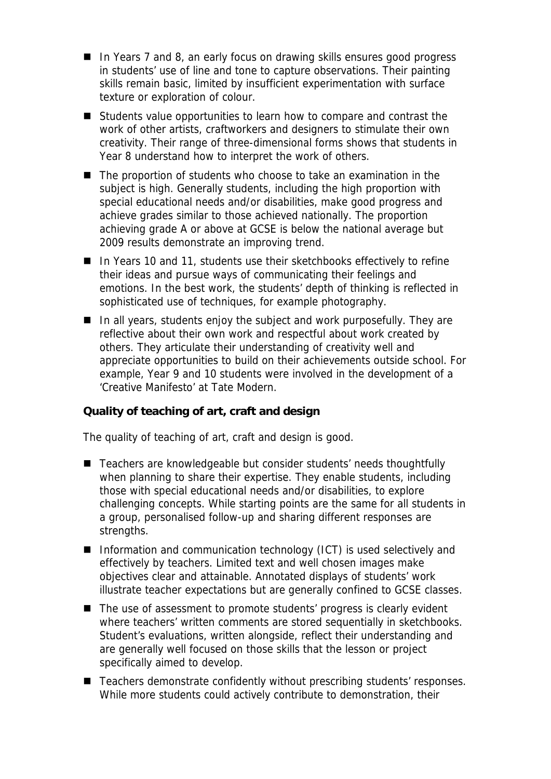- In Years 7 and 8, an early focus on drawing skills ensures good progress in students' use of line and tone to capture observations. Their painting skills remain basic, limited by insufficient experimentation with surface texture or exploration of colour.
- Students value opportunities to learn how to compare and contrast the work of other artists, craftworkers and designers to stimulate their own creativity. Their range of three-dimensional forms shows that students in Year 8 understand how to interpret the work of others.
- The proportion of students who choose to take an examination in the subject is high. Generally students, including the high proportion with special educational needs and/or disabilities, make good progress and achieve grades similar to those achieved nationally. The proportion achieving grade A or above at GCSE is below the national average but 2009 results demonstrate an improving trend.
- In Years 10 and 11, students use their sketchbooks effectively to refine their ideas and pursue ways of communicating their feelings and emotions. In the best work, the students' depth of thinking is reflected in sophisticated use of techniques, for example photography.
- $\blacksquare$  In all years, students enjoy the subject and work purposefully. They are reflective about their own work and respectful about work created by others. They articulate their understanding of creativity well and appreciate opportunities to build on their achievements outside school. For example, Year 9 and 10 students were involved in the development of a 'Creative Manifesto' at Tate Modern.

**Quality of teaching of art, craft and design**

The quality of teaching of art, craft and design is good.

- Teachers are knowledgeable but consider students' needs thoughtfully when planning to share their expertise. They enable students, including those with special educational needs and/or disabilities, to explore challenging concepts. While starting points are the same for all students in a group, personalised follow-up and sharing different responses are strengths.
- Information and communication technology (ICT) is used selectively and effectively by teachers. Limited text and well chosen images make objectives clear and attainable. Annotated displays of students' work illustrate teacher expectations but are generally confined to GCSE classes.
- The use of assessment to promote students' progress is clearly evident where teachers' written comments are stored sequentially in sketchbooks. Student's evaluations, written alongside, reflect their understanding and are generally well focused on those skills that the lesson or project specifically aimed to develop.
- Teachers demonstrate confidently without prescribing students' responses. While more students could actively contribute to demonstration, their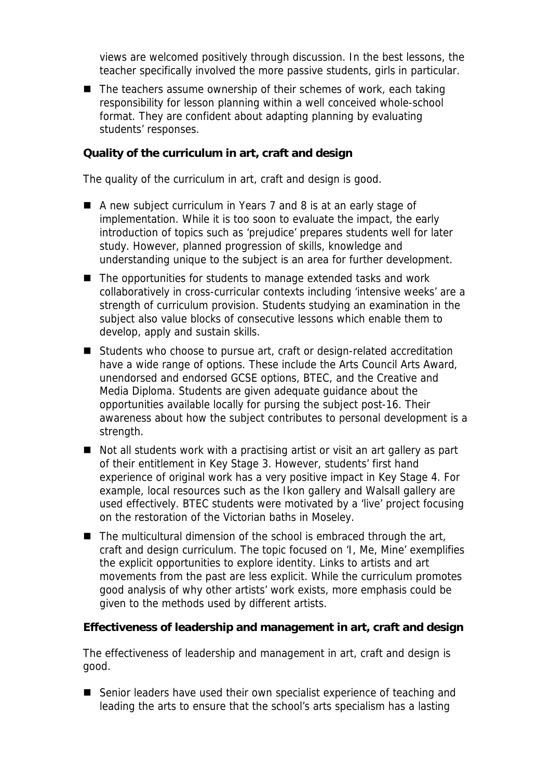views are welcomed positively through discussion. In the best lessons, the teacher specifically involved the more passive students, girls in particular.

■ The teachers assume ownership of their schemes of work, each taking responsibility for lesson planning within a well conceived whole-school format. They are confident about adapting planning by evaluating students' responses.

**Quality of the curriculum in art, craft and design**

The quality of the curriculum in art, craft and design is good.

- A new subject curriculum in Years 7 and 8 is at an early stage of implementation. While it is too soon to evaluate the impact, the early introduction of topics such as 'prejudice' prepares students well for later study. However, planned progression of skills, knowledge and understanding unique to the subject is an area for further development.
- The opportunities for students to manage extended tasks and work collaboratively in cross-curricular contexts including 'intensive weeks' are a strength of curriculum provision. Students studying an examination in the subject also value blocks of consecutive lessons which enable them to develop, apply and sustain skills.
- Students who choose to pursue art, craft or design-related accreditation have a wide range of options. These include the Arts Council Arts Award, unendorsed and endorsed GCSE options, BTEC, and the Creative and Media Diploma. Students are given adequate guidance about the opportunities available locally for pursing the subject post-16. Their awareness about how the subject contributes to personal development is a strength.
- Not all students work with a practising artist or visit an art gallery as part of their entitlement in Key Stage 3. However, students' first hand experience of original work has a very positive impact in Key Stage 4. For example, local resources such as the Ikon gallery and Walsall gallery are used effectively. BTEC students were motivated by a 'live' project focusing on the restoration of the Victorian baths in Moseley.
- $\blacksquare$  The multicultural dimension of the school is embraced through the art, craft and design curriculum. The topic focused on 'I, Me, Mine' exemplifies the explicit opportunities to explore identity. Links to artists and art movements from the past are less explicit. While the curriculum promotes good analysis of why other artists' work exists, more emphasis could be given to the methods used by different artists.

**Effectiveness of leadership and management in art, craft and design**

The effectiveness of leadership and management in art, craft and design is good.

■ Senior leaders have used their own specialist experience of teaching and leading the arts to ensure that the school's arts specialism has a lasting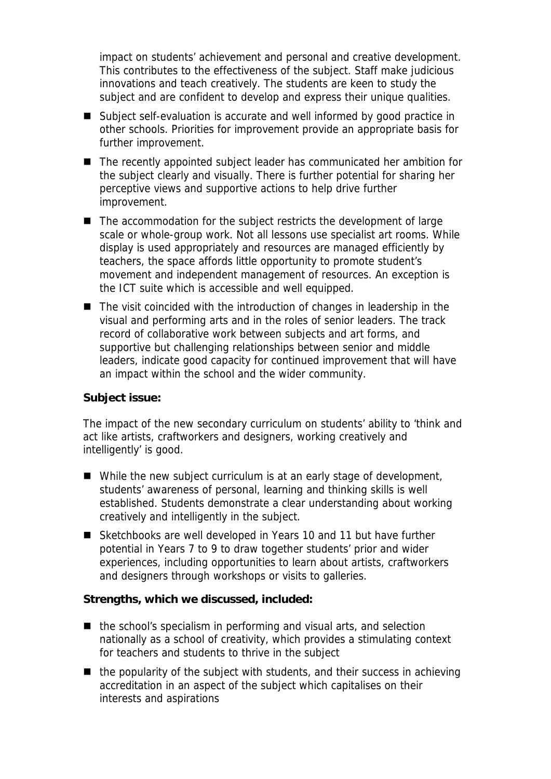impact on students' achievement and personal and creative development. This contributes to the effectiveness of the subject. Staff make judicious innovations and teach creatively. The students are keen to study the subject and are confident to develop and express their unique qualities.

- Subject self-evaluation is accurate and well informed by good practice in other schools. Priorities for improvement provide an appropriate basis for further improvement.
- The recently appointed subject leader has communicated her ambition for the subject clearly and visually. There is further potential for sharing her perceptive views and supportive actions to help drive further improvement.
- The accommodation for the subject restricts the development of large scale or whole-group work. Not all lessons use specialist art rooms. While display is used appropriately and resources are managed efficiently by teachers, the space affords little opportunity to promote student's movement and independent management of resources. An exception is the ICT suite which is accessible and well equipped.
- $\blacksquare$  The visit coincided with the introduction of changes in leadership in the visual and performing arts and in the roles of senior leaders. The track record of collaborative work between subjects and art forms, and supportive but challenging relationships between senior and middle leaders, indicate good capacity for continued improvement that will have an impact within the school and the wider community.

## **Subject issue:**

The impact of the new secondary curriculum on students' ability to 'think and act like artists, craftworkers and designers, working creatively and intelligently' is good.

- While the new subject curriculum is at an early stage of development, students' awareness of personal, learning and thinking skills is well established. Students demonstrate a clear understanding about working creatively and intelligently in the subject.
- Sketchbooks are well developed in Years 10 and 11 but have further potential in Years 7 to 9 to draw together students' prior and wider experiences, including opportunities to learn about artists, craftworkers and designers through workshops or visits to galleries.

**Strengths, which we discussed, included:**

- $\blacksquare$  the school's specialism in performing and visual arts, and selection nationally as a school of creativity, which provides a stimulating context for teachers and students to thrive in the subject
- $\blacksquare$  the popularity of the subject with students, and their success in achieving accreditation in an aspect of the subject which capitalises on their interests and aspirations